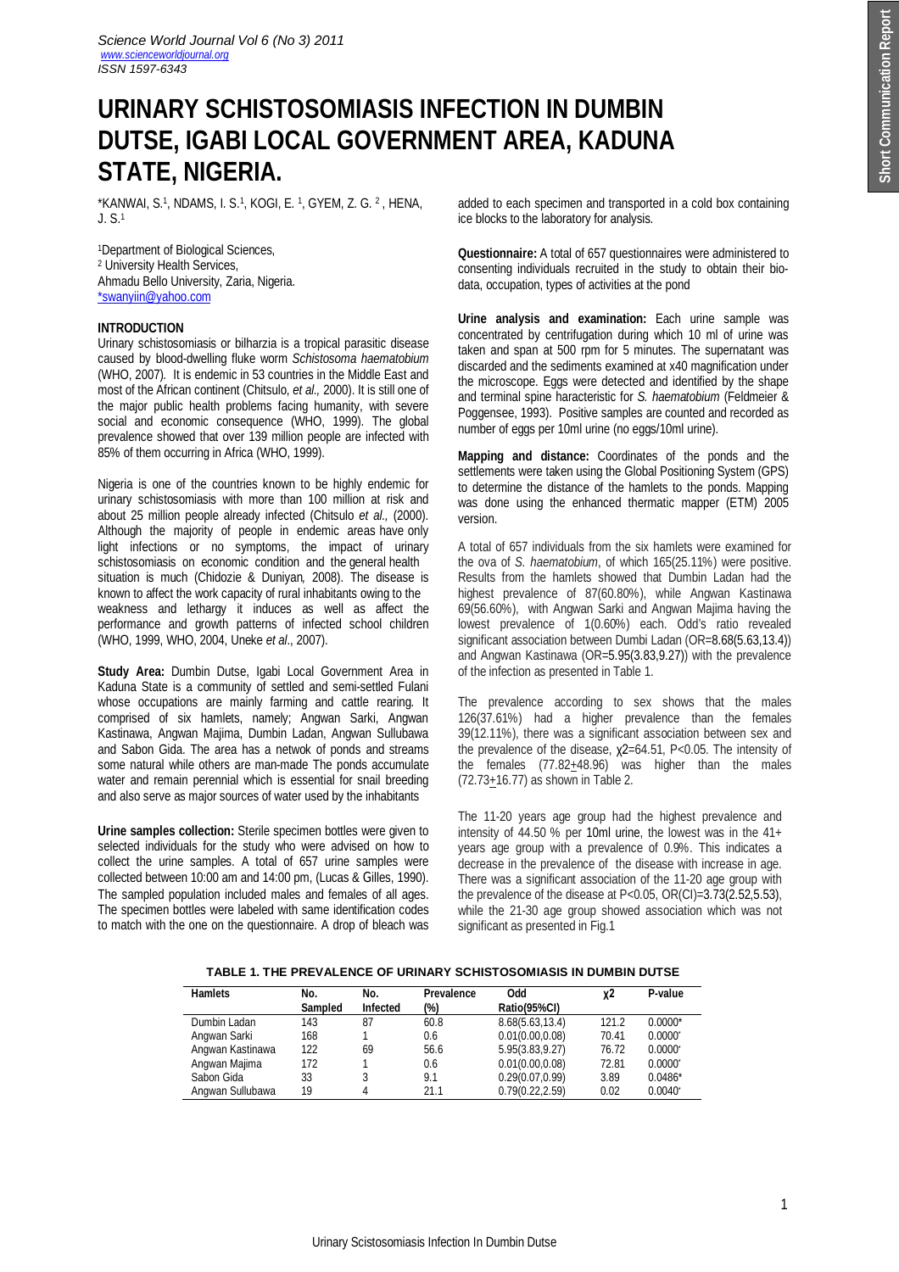# **URINARY SCHISTOSOMIASIS INFECTION IN DUMBIN DUTSE, IGABI LOCAL GOVERNMENT AREA, KADUNA STATE, NIGERIA.**

\*KANWAI, S.<sup>1</sup> , NDAMS, I. S.<sup>1</sup> , KOGI, E. <sup>1</sup> , GYEM, Z. G. <sup>2</sup> , HENA, J. S.<sup>1</sup>

<sup>1</sup>Department of Biological Sciences, <sup>2</sup> University Health Services, Ahmadu Bello University, Zaria, Nigeria. \*swanyiin@yahoo.com

# **INTRODUCTION**

Urinary schistosomiasis or bilharzia is a tropical parasitic disease caused by blood-dwelling fluke worm *Schistosoma haematobium* (WHO, 2007)*.* It is endemic in 53 countries in the Middle East and most of the African continent (Chitsulo, *et al.,* 2000). It is still one of the major public health problems facing humanity, with severe social and economic consequence (WHO, 1999). The global prevalence showed that over 139 million people are infected with 85% of them occurring in Africa (WHO, 1999).

Nigeria is one of the countries known to be highly endemic for urinary schistosomiasis with more than 100 million at risk and about 25 million people already infected (Chitsulo *et al.,* (2000). Although the majority of people in endemic areas have only light infections or no symptoms, the impact of urinary schistosomiasis on economic condition and the general health situation is much (Chidozie & Duniyan*,* 2008). The disease is known to affect the work capacity of rural inhabitants owing to the weakness and lethargy it induces as well as affect the performance and growth patterns of infected school children (WHO, 1999, WHO, 2004, Uneke *et al*., 2007).

**Study Area:** Dumbin Dutse, Igabi Local Government Area in Kaduna State is a community of settled and semi-settled Fulani whose occupations are mainly farming and cattle rearing. It comprised of six hamlets, namely; Angwan Sarki, Angwan Kastinawa, Angwan Majima, Dumbin Ladan, Angwan Sullubawa and Sabon Gida. The area has a netwok of ponds and streams some natural while others are man-made The ponds accumulate water and remain perennial which is essential for snail breeding and also serve as major sources of water used by the inhabitants

**Urine samples collection:** Sterile specimen bottles were given to selected individuals for the study who were advised on how to collect the urine samples. A total of 657 urine samples were collected between 10:00 am and 14:00 pm, (Lucas & Gilles, 1990). The sampled population included males and females of all ages. The specimen bottles were labeled with same identification codes to match with the one on the questionnaire. A drop of bleach was

added to each specimen and transported in a cold box containing ice blocks to the laboratory for analysis.

**Questionnaire:** A total of 657 questionnaires were administered to consenting individuals recruited in the study to obtain their biodata, occupation, types of activities at the pond

**Urine analysis and examination:** Each urine sample was concentrated by centrifugation during which 10 ml of urine was taken and span at 500 rpm for 5 minutes. The supernatant was discarded and the sediments examined at x40 magnification under the microscope. Eggs were detected and identified by the shape and terminal spine haracteristic for *S. haematobium* (Feldmeier & Poggensee, 1993). Positive samples are counted and recorded as number of eggs per 10ml urine (no eggs/10ml urine).

**Mapping and distance:** Coordinates of the ponds and the settlements were taken using the Global Positioning System (GPS) to determine the distance of the hamlets to the ponds. Mapping was done using the enhanced thermatic mapper (ETM) 2005 version.

A total of 657 individuals from the six hamlets were examined for the ova of *S. haematobium*, of which 165(25.11%) were positive. Results from the hamlets showed that Dumbin Ladan had the highest prevalence of 87(60.80%), while Angwan Kastinawa 69(56.60%), with Angwan Sarki and Angwan Majima having the lowest prevalence of 1(0.60%) each. Odd's ratio revealed significant association between Dumbi Ladan (OR=8.68(5.63,13.4)) and Angwan Kastinawa (OR=5.95(3.83,9.27)) with the prevalence of the infection as presented in Table 1.

The prevalence according to sex shows that the males 126(37.61%) had a higher prevalence than the females 39(12.11%), there was a significant association between sex and the prevalence of the disease, χ2=64.51, P<0.05. The intensity of the females  $(77.82 \pm 48.96)$  was higher than the males (72.73+16.77) as shown in Table 2.

The 11-20 years age group had the highest prevalence and intensity of 44.50 % per 10ml urine, the lowest was in the 41+ years age group with a prevalence of 0.9%. This indicates a decrease in the prevalence of the disease with increase in age. There was a significant association of the 11-20 age group with the prevalence of the disease at  $P < 0.05$ ,  $OR(CI) = 3.73(2.52.5.53)$ , while the 21-30 age group showed association which was not significant as presented in Fig.1

# **TABLE 1. THE PREVALENCE OF URINARY SCHISTOSOMIASIS IN DUMBIN DUTSE**

| <b>Hamlets</b>   | No.<br><b>Sampled</b> | No.<br><b>Infected</b> | Prevalence<br>(%) | Odd<br>Ratio(95%CI) | χ2    | P-value               |
|------------------|-----------------------|------------------------|-------------------|---------------------|-------|-----------------------|
| Dumbin Ladan     | 143                   | 87                     | 60.8              | 8.68(5.63, 13.4)    | 121.2 | $0.0000*$             |
| Angwan Sarki     | 168                   |                        | 0.6               | 0.01(0.00, 0.08)    | 70.41 | $0.0000$ <sup>*</sup> |
| Angwan Kastinawa | 122                   | 69                     | 56.6              | 5.95(3.83, 9.27)    | 76.72 | $0.0000^*$            |
| Angwan Majima    | 172                   |                        | 0.6               | 0.01(0.00, 0.08)    | 72.81 | $0.0000^*$            |
| Sabon Gida       | 33                    | 3                      | 9.1               | 0.29(0.07, 0.99)    | 3.89  | $0.0486*$             |
| Angwan Sullubawa | 19                    | 4                      | 21.1              | 0.79(0.22, 2.59)    | 0.02  | $0.0040^{\circ}$      |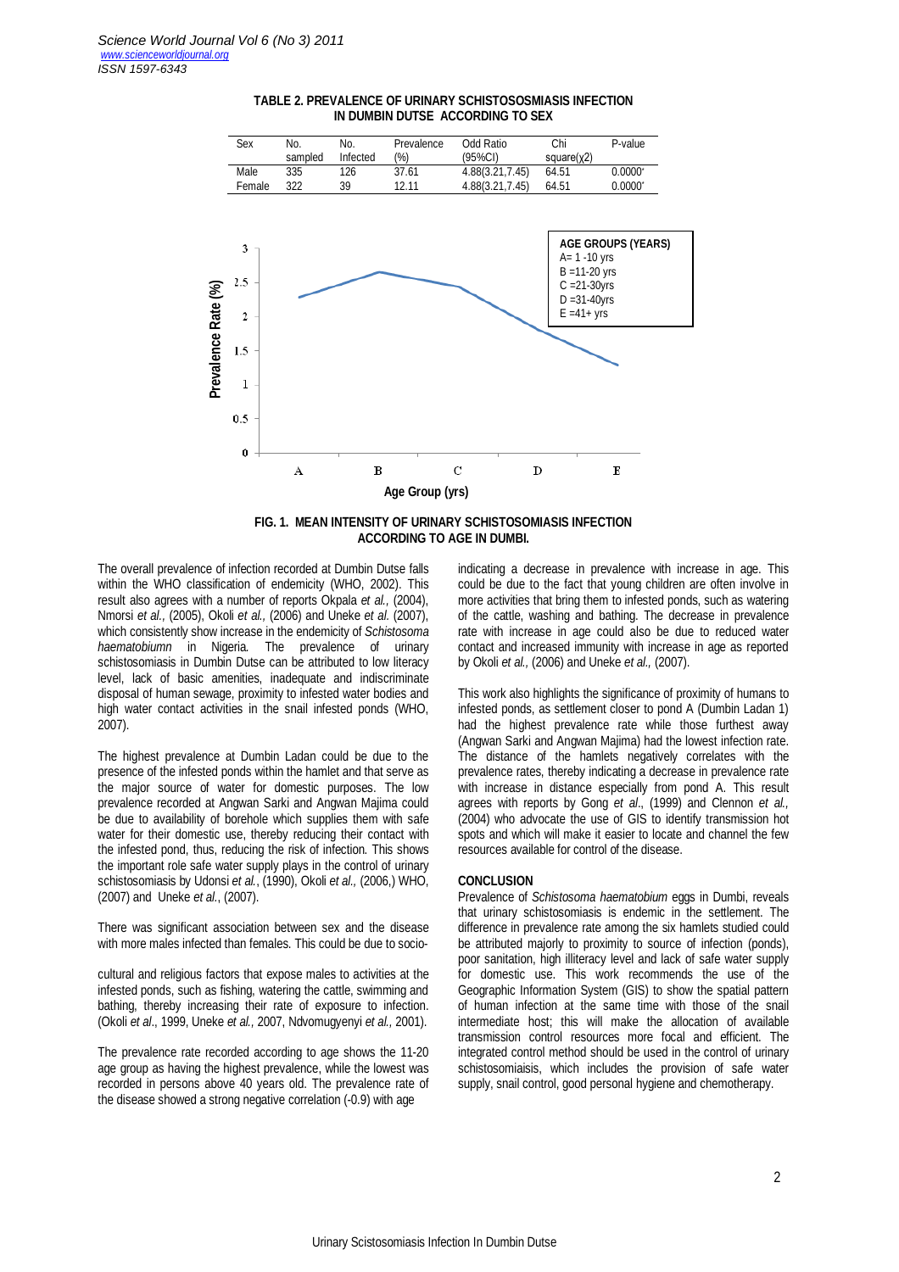

### **TABLE 2. PREVALENCE OF URINARY SCHISTOSOSMIASIS INFECTION IN DUMBIN DUTSE ACCORDING TO SEX**



The overall prevalence of infection recorded at Dumbin Dutse falls within the WHO classification of endemicity (WHO, 2002). This result also agrees with a number of reports Okpala *et al.,* (2004), Nmorsi *et al.,* (2005), Okoli *et al.,* (2006) and Uneke *et al.* (2007), which consistently show increase in the endemicity of *Schistosoma haematobiumn* in Nigeria*.* The prevalence of urinary schistosomiasis in Dumbin Dutse can be attributed to low literacy level, lack of basic amenities, inadequate and indiscriminate disposal of human sewage, proximity to infested water bodies and high water contact activities in the snail infested ponds (WHO, 2007).

The highest prevalence at Dumbin Ladan could be due to the presence of the infested ponds within the hamlet and that serve as the major source of water for domestic purposes. The low prevalence recorded at Angwan Sarki and Angwan Majima could be due to availability of borehole which supplies them with safe water for their domestic use, thereby reducing their contact with the infested pond, thus, reducing the risk of infection. This shows the important role safe water supply plays in the control of urinary schistosomiasis by Udonsi *et al.*, (1990), Okoli *et al.,* (2006,) WHO, (2007) and Uneke *et al.*, (2007).

There was significant association between sex and the disease with more males infected than females. This could be due to socio-

cultural and religious factors that expose males to activities at the infested ponds, such as fishing, watering the cattle, swimming and bathing, thereby increasing their rate of exposure to infection. (Okoli *et al*., 1999, Uneke *et al.,* 2007, Ndvomugyenyi *et al.,* 2001).

The prevalence rate recorded according to age shows the 11-20 age group as having the highest prevalence, while the lowest was recorded in persons above 40 years old. The prevalence rate of the disease showed a strong negative correlation (-0.9) with age

indicating a decrease in prevalence with increase in age. This could be due to the fact that young children are often involve in more activities that bring them to infested ponds, such as watering of the cattle, washing and bathing. The decrease in prevalence rate with increase in age could also be due to reduced water contact and increased immunity with increase in age as reported by Okoli *et al.,* (2006) and Uneke *et al.,* (2007).

This work also highlights the significance of proximity of humans to infested ponds, as settlement closer to pond A (Dumbin Ladan 1) had the highest prevalence rate while those furthest away (Angwan Sarki and Angwan Majima) had the lowest infection rate. The distance of the hamlets negatively correlates with the prevalence rates, thereby indicating a decrease in prevalence rate with increase in distance especially from pond A. This result agrees with reports by Gong *et al*., (1999) and Clennon *et al.,* (2004) who advocate the use of GIS to identify transmission hot spots and which will make it easier to locate and channel the few resources available for control of the disease.

# **CONCLUSION**

Prevalence of *Schistosoma haematobium* eggs in Dumbi, reveals that urinary schistosomiasis is endemic in the settlement. The difference in prevalence rate among the six hamlets studied could be attributed majorly to proximity to source of infection (ponds), poor sanitation, high illiteracy level and lack of safe water supply for domestic use. This work recommends the use of the Geographic Information System (GIS) to show the spatial pattern of human infection at the same time with those of the snail intermediate host; this will make the allocation of available transmission control resources more focal and efficient. The integrated control method should be used in the control of urinary schistosomiaisis, which includes the provision of safe water supply, snail control, good personal hygiene and chemotherapy.